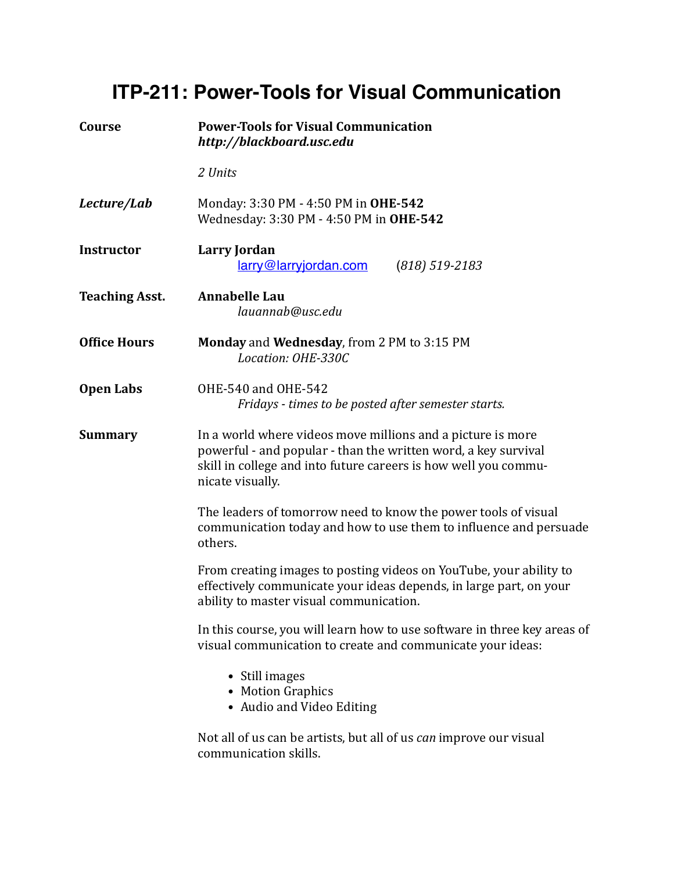## **ITP-211: Power-Tools for Visual Communication**

| Course                | <b>Power-Tools for Visual Communication</b><br>http://blackboard.usc.edu<br>2 Units                                                                                                                                  |  |  |  |
|-----------------------|----------------------------------------------------------------------------------------------------------------------------------------------------------------------------------------------------------------------|--|--|--|
|                       |                                                                                                                                                                                                                      |  |  |  |
| Lecture/Lab           | Monday: 3:30 PM - 4:50 PM in OHE-542<br>Wednesday: 3:30 PM - 4:50 PM in OHE-542                                                                                                                                      |  |  |  |
| <b>Instructor</b>     | Larry Jordan<br>larry@larryjordan.com<br>$(818) 519 - 2183$                                                                                                                                                          |  |  |  |
| <b>Teaching Asst.</b> | <b>Annabelle Lau</b><br>lauannab@usc.edu                                                                                                                                                                             |  |  |  |
| <b>Office Hours</b>   | Monday and Wednesday, from 2 PM to 3:15 PM<br>Location: OHE-330C                                                                                                                                                     |  |  |  |
| <b>Open Labs</b>      | OHE-540 and OHE-542<br>Fridays - times to be posted after semester starts.                                                                                                                                           |  |  |  |
| <b>Summary</b>        | In a world where videos move millions and a picture is more<br>powerful - and popular - than the written word, a key survival<br>skill in college and into future careers is how well you commu-<br>nicate visually. |  |  |  |
|                       | The leaders of tomorrow need to know the power tools of visual<br>communication today and how to use them to influence and persuade<br>others.                                                                       |  |  |  |
|                       | From creating images to posting videos on YouTube, your ability to<br>effectively communicate your ideas depends, in large part, on your<br>ability to master visual communication.                                  |  |  |  |
|                       | In this course, you will learn how to use software in three key areas of<br>visual communication to create and communicate your ideas:                                                                               |  |  |  |
|                       | • Still images<br>• Motion Graphics<br>• Audio and Video Editing                                                                                                                                                     |  |  |  |
|                       | Not all of us can be artists, but all of us <i>can</i> improve our visual<br>communication skills.                                                                                                                   |  |  |  |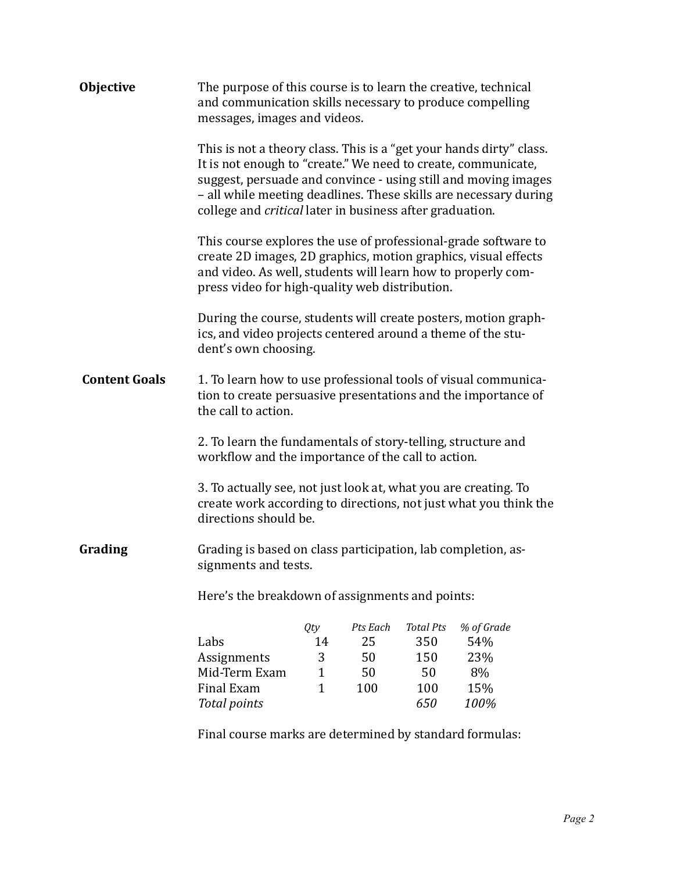| <b>Objective</b>     | The purpose of this course is to learn the creative, technical<br>and communication skills necessary to produce compelling<br>messages, images and videos.                                                                                                                                                                             |                                                |                                   |                                             |                                       |  |
|----------------------|----------------------------------------------------------------------------------------------------------------------------------------------------------------------------------------------------------------------------------------------------------------------------------------------------------------------------------------|------------------------------------------------|-----------------------------------|---------------------------------------------|---------------------------------------|--|
|                      | This is not a theory class. This is a "get your hands dirty" class.<br>It is not enough to "create." We need to create, communicate,<br>suggest, persuade and convince - using still and moving images<br>- all while meeting deadlines. These skills are necessary during<br>college and critical later in business after graduation. |                                                |                                   |                                             |                                       |  |
|                      | This course explores the use of professional-grade software to<br>create 2D images, 2D graphics, motion graphics, visual effects<br>and video. As well, students will learn how to properly com-<br>press video for high-quality web distribution.                                                                                     |                                                |                                   |                                             |                                       |  |
|                      | During the course, students will create posters, motion graph-<br>ics, and video projects centered around a theme of the stu-<br>dent's own choosing.                                                                                                                                                                                  |                                                |                                   |                                             |                                       |  |
| <b>Content Goals</b> | 1. To learn how to use professional tools of visual communica-<br>tion to create persuasive presentations and the importance of<br>the call to action.                                                                                                                                                                                 |                                                |                                   |                                             |                                       |  |
|                      | 2. To learn the fundamentals of story-telling, structure and<br>workflow and the importance of the call to action.                                                                                                                                                                                                                     |                                                |                                   |                                             |                                       |  |
|                      | 3. To actually see, not just look at, what you are creating. To<br>create work according to directions, not just what you think the<br>directions should be.                                                                                                                                                                           |                                                |                                   |                                             |                                       |  |
| Grading              | Grading is based on class participation, lab completion, as-<br>signments and tests.                                                                                                                                                                                                                                                   |                                                |                                   |                                             |                                       |  |
|                      | Here's the breakdown of assignments and points:                                                                                                                                                                                                                                                                                        |                                                |                                   |                                             |                                       |  |
|                      | Labs<br>Assignments<br>Mid-Term Exam<br>Final Exam                                                                                                                                                                                                                                                                                     | Qty<br>14<br>3<br>$\mathbf{1}$<br>$\mathbf{1}$ | Pts Each<br>25<br>50<br>50<br>100 | <b>Total Pts</b><br>350<br>150<br>50<br>100 | % of Grade<br>54%<br>23%<br>8%<br>15% |  |
|                      | <b>Total points</b>                                                                                                                                                                                                                                                                                                                    |                                                |                                   | 650                                         | 100%                                  |  |

Final course marks are determined by standard formulas: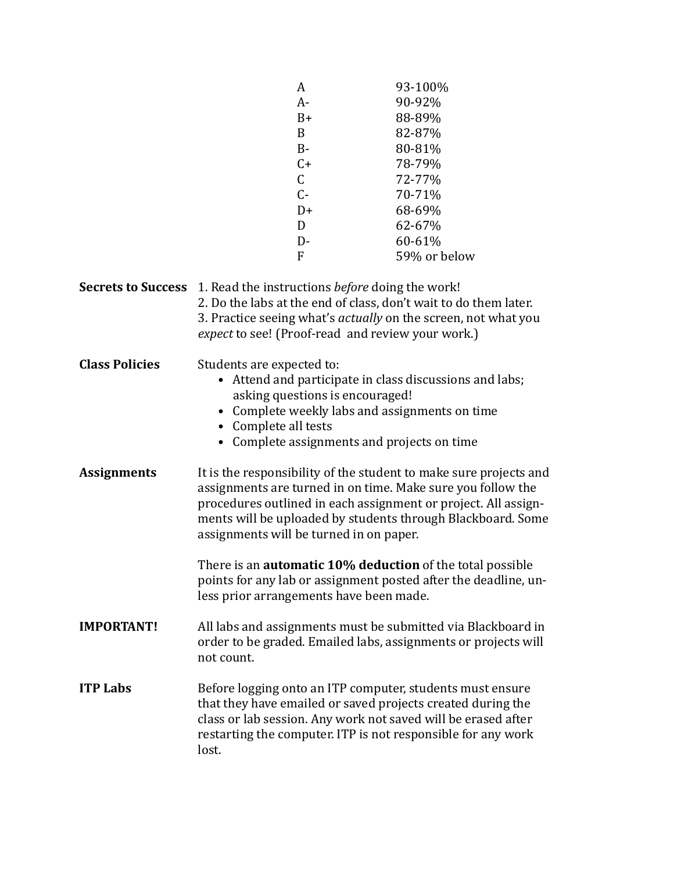|                                                                                  |                                                         | A                               | 93-100%                                                           |  |
|----------------------------------------------------------------------------------|---------------------------------------------------------|---------------------------------|-------------------------------------------------------------------|--|
|                                                                                  |                                                         |                                 |                                                                   |  |
|                                                                                  |                                                         | A-<br>$B+$                      | 90-92%                                                            |  |
|                                                                                  |                                                         | B                               | 88-89%                                                            |  |
|                                                                                  |                                                         |                                 | 82-87%                                                            |  |
|                                                                                  |                                                         | $B -$                           | 80-81%                                                            |  |
|                                                                                  |                                                         | $C+$                            | 78-79%                                                            |  |
|                                                                                  |                                                         | $\mathsf C$                     | 72-77%                                                            |  |
|                                                                                  |                                                         | $C -$                           | 70-71%                                                            |  |
|                                                                                  |                                                         | $D+$                            | 68-69%                                                            |  |
|                                                                                  |                                                         | D                               | 62-67%                                                            |  |
|                                                                                  |                                                         | $D-$                            | 60-61%                                                            |  |
|                                                                                  |                                                         | $\mathbf{F}$                    | 59% or below                                                      |  |
| <b>Secrets to Success</b> 1. Read the instructions <i>before</i> doing the work! |                                                         |                                 |                                                                   |  |
|                                                                                  |                                                         |                                 | 2. Do the labs at the end of class, don't wait to do them later.  |  |
|                                                                                  |                                                         |                                 | 3. Practice seeing what's actually on the screen, not what you    |  |
|                                                                                  |                                                         |                                 | expect to see! (Proof-read and review your work.)                 |  |
|                                                                                  |                                                         |                                 |                                                                   |  |
| <b>Class Policies</b>                                                            | Students are expected to:                               |                                 |                                                                   |  |
|                                                                                  | • Attend and participate in class discussions and labs; |                                 |                                                                   |  |
|                                                                                  |                                                         | asking questions is encouraged! |                                                                   |  |
|                                                                                  |                                                         |                                 | Complete weekly labs and assignments on time                      |  |
|                                                                                  | Complete all tests                                      |                                 |                                                                   |  |
|                                                                                  |                                                         |                                 | • Complete assignments and projects on time                       |  |
|                                                                                  |                                                         |                                 |                                                                   |  |
| <b>Assignments</b>                                                               |                                                         |                                 | It is the responsibility of the student to make sure projects and |  |
|                                                                                  |                                                         |                                 | assignments are turned in on time. Make sure you follow the       |  |
|                                                                                  |                                                         |                                 | procedures outlined in each assignment or project. All assign-    |  |
|                                                                                  |                                                         |                                 | ments will be uploaded by students through Blackboard. Some       |  |
|                                                                                  | assignments will be turned in on paper.                 |                                 |                                                                   |  |
|                                                                                  |                                                         |                                 | There is an <b>automatic 10% deduction</b> of the total possible  |  |
|                                                                                  |                                                         |                                 | points for any lab or assignment posted after the deadline, un-   |  |
|                                                                                  | less prior arrangements have been made.                 |                                 |                                                                   |  |
|                                                                                  |                                                         |                                 |                                                                   |  |
| <b>IMPORTANT!</b>                                                                |                                                         |                                 | All labs and assignments must be submitted via Blackboard in      |  |
|                                                                                  |                                                         |                                 | order to be graded. Emailed labs, assignments or projects will    |  |
|                                                                                  | not count.                                              |                                 |                                                                   |  |
|                                                                                  |                                                         |                                 |                                                                   |  |
| <b>ITP Labs</b>                                                                  |                                                         |                                 | Before logging onto an ITP computer, students must ensure         |  |
|                                                                                  |                                                         |                                 | that they have emailed or saved projects created during the       |  |
|                                                                                  |                                                         |                                 | class or lab session. Any work not saved will be erased after     |  |
|                                                                                  |                                                         |                                 | restarting the computer. ITP is not responsible for any work      |  |
|                                                                                  | lost.                                                   |                                 |                                                                   |  |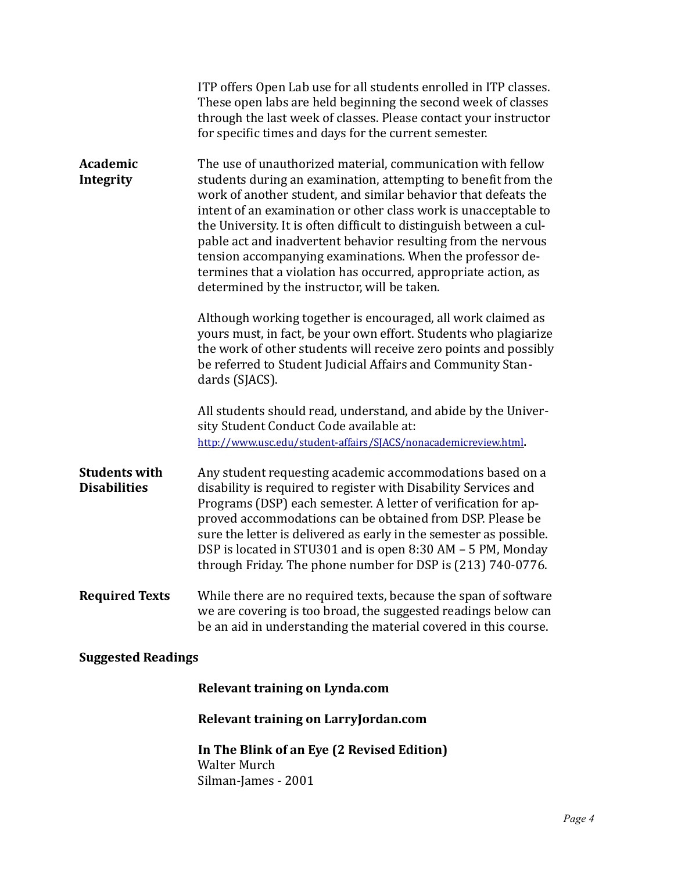|                                             | ITP offers Open Lab use for all students enrolled in ITP classes.<br>These open labs are held beginning the second week of classes<br>through the last week of classes. Please contact your instructor<br>for specific times and days for the current semester.                                                                                                                                                                                                                                                                                                                           |
|---------------------------------------------|-------------------------------------------------------------------------------------------------------------------------------------------------------------------------------------------------------------------------------------------------------------------------------------------------------------------------------------------------------------------------------------------------------------------------------------------------------------------------------------------------------------------------------------------------------------------------------------------|
| Academic<br>Integrity                       | The use of unauthorized material, communication with fellow<br>students during an examination, attempting to benefit from the<br>work of another student, and similar behavior that defeats the<br>intent of an examination or other class work is unacceptable to<br>the University. It is often difficult to distinguish between a cul-<br>pable act and inadvertent behavior resulting from the nervous<br>tension accompanying examinations. When the professor de-<br>termines that a violation has occurred, appropriate action, as<br>determined by the instructor, will be taken. |
|                                             | Although working together is encouraged, all work claimed as<br>yours must, in fact, be your own effort. Students who plagiarize<br>the work of other students will receive zero points and possibly<br>be referred to Student Judicial Affairs and Community Stan-<br>dards (SJACS).                                                                                                                                                                                                                                                                                                     |
|                                             | All students should read, understand, and abide by the Univer-<br>sity Student Conduct Code available at:<br>http://www.usc.edu/student-affairs/SJACS/nonacademicreview.html.                                                                                                                                                                                                                                                                                                                                                                                                             |
| <b>Students with</b><br><b>Disabilities</b> | Any student requesting academic accommodations based on a<br>disability is required to register with Disability Services and<br>Programs (DSP) each semester. A letter of verification for ap-<br>proved accommodations can be obtained from DSP. Please be<br>sure the letter is delivered as early in the semester as possible.<br>DSP is located in STU301 and is open 8:30 AM - 5 PM, Monday<br>through Friday. The phone number for DSP is (213) 740-0776.                                                                                                                           |
| <b>Required Texts</b>                       | While there are no required texts, because the span of software<br>we are covering is too broad, the suggested readings below can<br>be an aid in understanding the material covered in this course.                                                                                                                                                                                                                                                                                                                                                                                      |
| <b>Suggested Readings</b>                   |                                                                                                                                                                                                                                                                                                                                                                                                                                                                                                                                                                                           |
|                                             | Relevant training on Lynda.com                                                                                                                                                                                                                                                                                                                                                                                                                                                                                                                                                            |
|                                             | Relevant training on LarryJordan.com                                                                                                                                                                                                                                                                                                                                                                                                                                                                                                                                                      |

In The Blink of an Eye (2 Revised Edition) Walter Murch Silman-James - 2001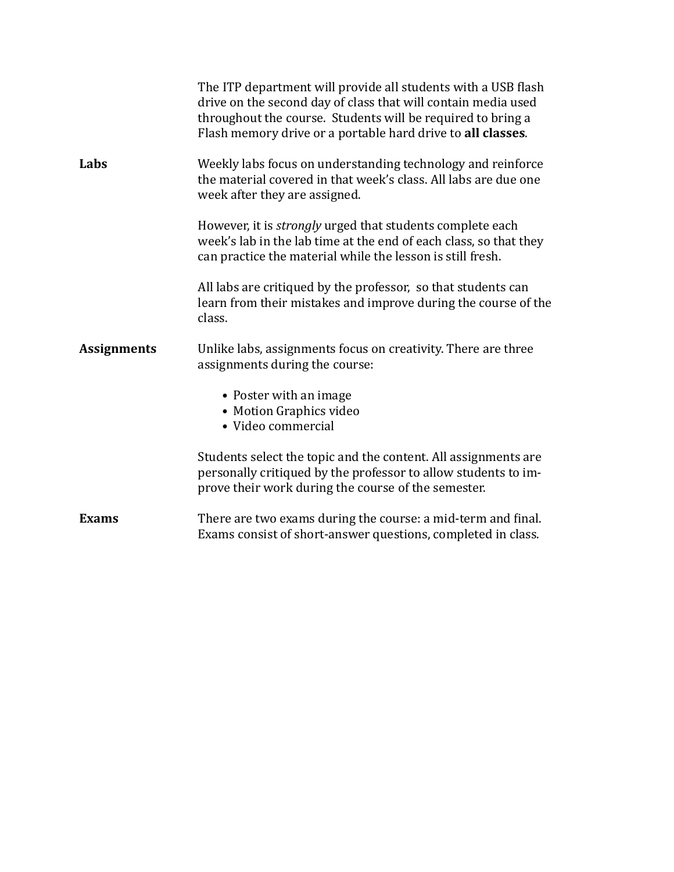|                    | The ITP department will provide all students with a USB flash<br>drive on the second day of class that will contain media used<br>throughout the course. Students will be required to bring a<br>Flash memory drive or a portable hard drive to all classes. |
|--------------------|--------------------------------------------------------------------------------------------------------------------------------------------------------------------------------------------------------------------------------------------------------------|
| Labs               | Weekly labs focus on understanding technology and reinforce<br>the material covered in that week's class. All labs are due one<br>week after they are assigned.                                                                                              |
|                    | However, it is <i>strongly</i> urged that students complete each<br>week's lab in the lab time at the end of each class, so that they<br>can practice the material while the lesson is still fresh.                                                          |
|                    | All labs are critiqued by the professor, so that students can<br>learn from their mistakes and improve during the course of the<br>class.                                                                                                                    |
| <b>Assignments</b> | Unlike labs, assignments focus on creativity. There are three<br>assignments during the course:                                                                                                                                                              |
|                    | • Poster with an image<br>• Motion Graphics video<br>• Video commercial                                                                                                                                                                                      |
|                    | Students select the topic and the content. All assignments are<br>personally critiqued by the professor to allow students to im-<br>prove their work during the course of the semester.                                                                      |
| <b>Exams</b>       | There are two exams during the course: a mid-term and final.<br>Exams consist of short-answer questions, completed in class.                                                                                                                                 |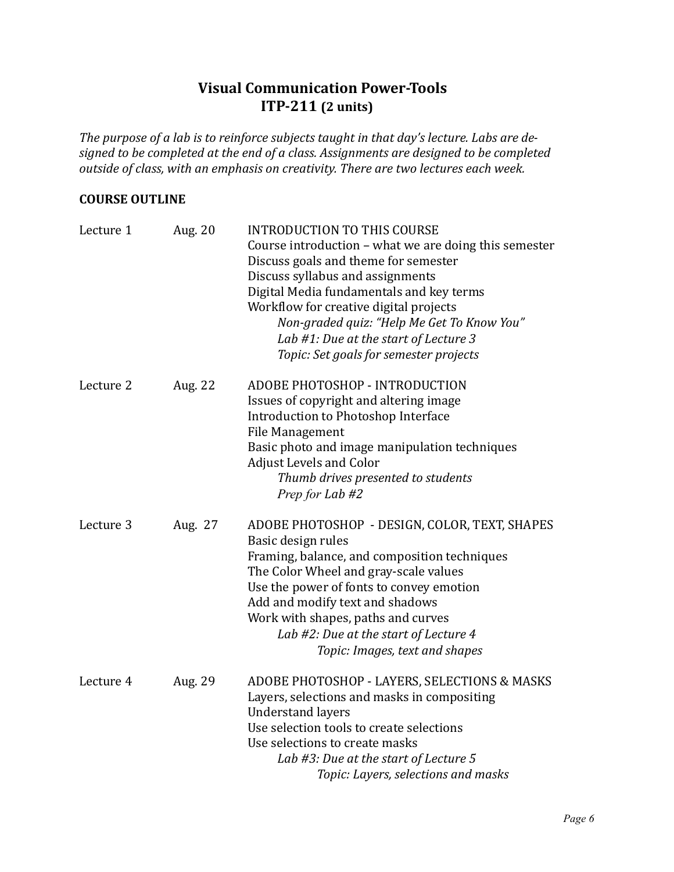## **Visual Communication Power-Tools ITP-211** (2 units)

The purpose of a lab is to reinforce subjects taught in that day's lecture. Labs are designed to be completed at the end of a class. Assignments are designed to be completed *outside of class, with an emphasis on creativity. There are two lectures each week.* 

## **COURSE OUTLINE**

| Lecture 1 | Aug. 20 | <b>INTRODUCTION TO THIS COURSE</b><br>Course introduction - what we are doing this semester<br>Discuss goals and theme for semester<br>Discuss syllabus and assignments<br>Digital Media fundamentals and key terms<br>Workflow for creative digital projects<br>Non-graded quiz: "Help Me Get To Know You"<br>Lab #1: Due at the start of Lecture 3<br>Topic: Set goals for semester projects |
|-----------|---------|------------------------------------------------------------------------------------------------------------------------------------------------------------------------------------------------------------------------------------------------------------------------------------------------------------------------------------------------------------------------------------------------|
| Lecture 2 | Aug. 22 | ADOBE PHOTOSHOP - INTRODUCTION<br>Issues of copyright and altering image<br>Introduction to Photoshop Interface<br>File Management<br>Basic photo and image manipulation techniques<br><b>Adjust Levels and Color</b><br>Thumb drives presented to students<br>Prep for Lab #2                                                                                                                 |
| Lecture 3 | Aug. 27 | ADOBE PHOTOSHOP - DESIGN, COLOR, TEXT, SHAPES<br>Basic design rules<br>Framing, balance, and composition techniques<br>The Color Wheel and gray-scale values<br>Use the power of fonts to convey emotion<br>Add and modify text and shadows<br>Work with shapes, paths and curves<br>Lab #2: Due at the start of Lecture 4<br>Topic: Images, text and shapes                                   |
| Lecture 4 | Aug. 29 | ADOBE PHOTOSHOP - LAYERS, SELECTIONS & MASKS<br>Layers, selections and masks in compositing<br><b>Understand layers</b><br>Use selection tools to create selections<br>Use selections to create masks<br>Lab #3: Due at the start of Lecture 5<br>Topic: Layers, selections and masks                                                                                                          |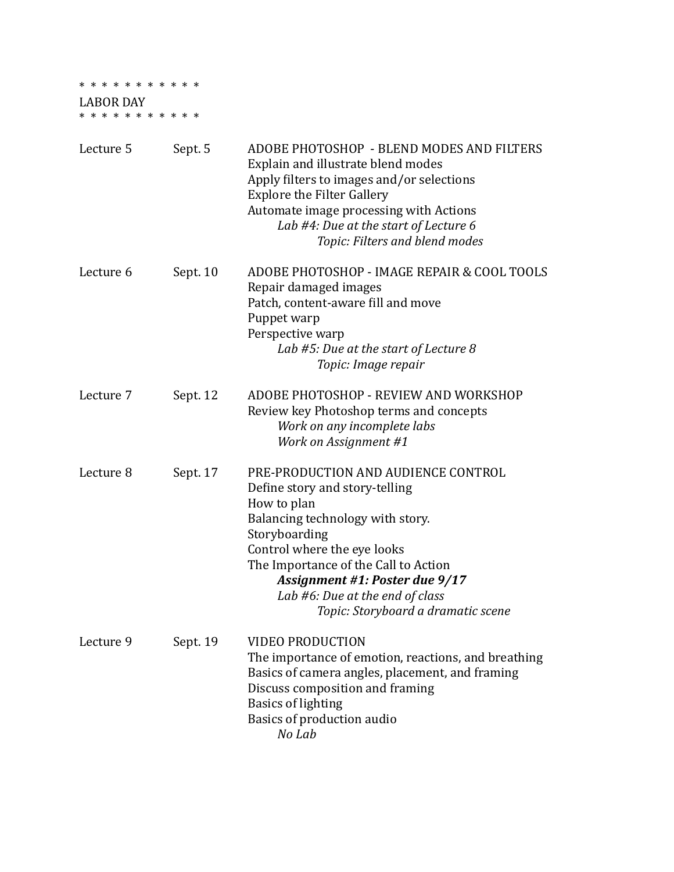## \* \* \* \* \* \* \* \* \* \* \*

LABOR DAY \* \* \* \* \* \* \* \* \* \* \*

| Lecture 5 | Sept. 5  | ADOBE PHOTOSHOP - BLEND MODES AND FILTERS<br>Explain and illustrate blend modes<br>Apply filters to images and/or selections<br><b>Explore the Filter Gallery</b><br>Automate image processing with Actions<br>Lab #4: Due at the start of Lecture 6<br>Topic: Filters and blend modes                                      |
|-----------|----------|-----------------------------------------------------------------------------------------------------------------------------------------------------------------------------------------------------------------------------------------------------------------------------------------------------------------------------|
| Lecture 6 | Sept. 10 | ADOBE PHOTOSHOP - IMAGE REPAIR & COOL TOOLS<br>Repair damaged images<br>Patch, content-aware fill and move<br>Puppet warp<br>Perspective warp<br>Lab #5: Due at the start of Lecture 8<br>Topic: Image repair                                                                                                               |
| Lecture 7 | Sept. 12 | ADOBE PHOTOSHOP - REVIEW AND WORKSHOP<br>Review key Photoshop terms and concepts<br>Work on any incomplete labs<br>Work on Assignment #1                                                                                                                                                                                    |
| Lecture 8 | Sept. 17 | PRE-PRODUCTION AND AUDIENCE CONTROL<br>Define story and story-telling<br>How to plan<br>Balancing technology with story.<br>Storyboarding<br>Control where the eye looks<br>The Importance of the Call to Action<br>Assignment #1: Poster due 9/17<br>Lab #6: Due at the end of class<br>Topic: Storyboard a dramatic scene |
| Lecture 9 | Sept. 19 | <b>VIDEO PRODUCTION</b><br>The importance of emotion, reactions, and breathing<br>Basics of camera angles, placement, and framing<br>Discuss composition and framing<br><b>Basics of lighting</b><br>Basics of production audio<br>No Lab                                                                                   |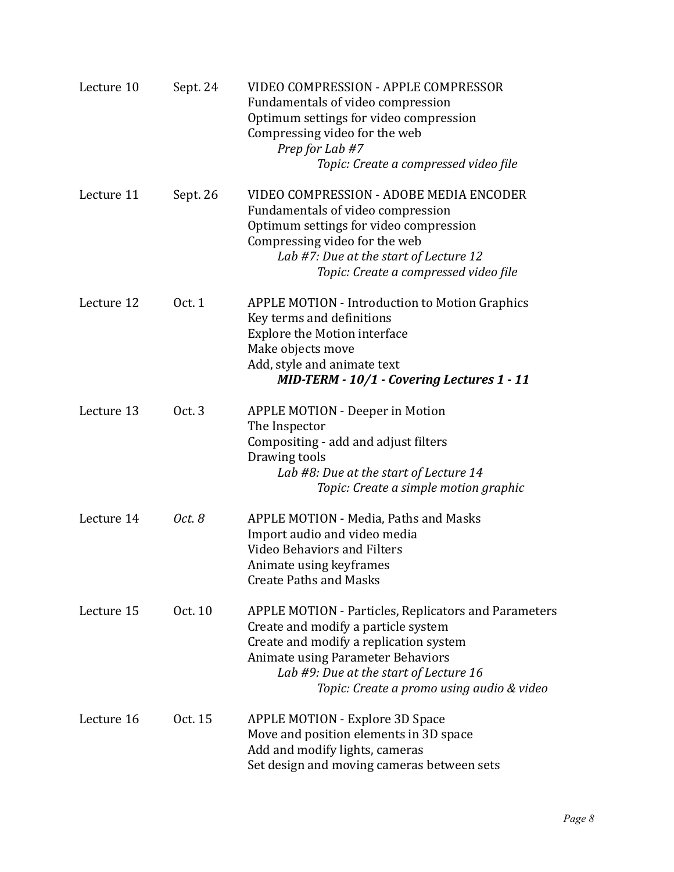| Lecture 10 | Sept. 24 | <b>VIDEO COMPRESSION - APPLE COMPRESSOR</b><br>Fundamentals of video compression<br>Optimum settings for video compression<br>Compressing video for the web<br>Prep for Lab #7<br>Topic: Create a compressed video file                                                         |
|------------|----------|---------------------------------------------------------------------------------------------------------------------------------------------------------------------------------------------------------------------------------------------------------------------------------|
| Lecture 11 | Sept. 26 | VIDEO COMPRESSION - ADOBE MEDIA ENCODER<br>Fundamentals of video compression<br>Optimum settings for video compression<br>Compressing video for the web<br>Lab #7: Due at the start of Lecture 12<br>Topic: Create a compressed video file                                      |
| Lecture 12 | Oct. 1   | <b>APPLE MOTION - Introduction to Motion Graphics</b><br>Key terms and definitions<br><b>Explore the Motion interface</b><br>Make objects move<br>Add, style and animate text<br>MID-TERM - 10/1 - Covering Lectures 1 - 11                                                     |
| Lecture 13 | Oct. 3   | <b>APPLE MOTION - Deeper in Motion</b><br>The Inspector<br>Compositing - add and adjust filters<br>Drawing tools<br>Lab #8: Due at the start of Lecture 14<br>Topic: Create a simple motion graphic                                                                             |
| Lecture 14 | Oct. 8   | APPLE MOTION - Media, Paths and Masks<br>Import audio and video media<br><b>Video Behaviors and Filters</b><br>Animate using keyframes<br><b>Create Paths and Masks</b>                                                                                                         |
| Lecture 15 | Oct. 10  | <b>APPLE MOTION - Particles, Replicators and Parameters</b><br>Create and modify a particle system<br>Create and modify a replication system<br><b>Animate using Parameter Behaviors</b><br>Lab #9: Due at the start of Lecture 16<br>Topic: Create a promo using audio & video |
| Lecture 16 | Oct. 15  | <b>APPLE MOTION - Explore 3D Space</b><br>Move and position elements in 3D space<br>Add and modify lights, cameras<br>Set design and moving cameras between sets                                                                                                                |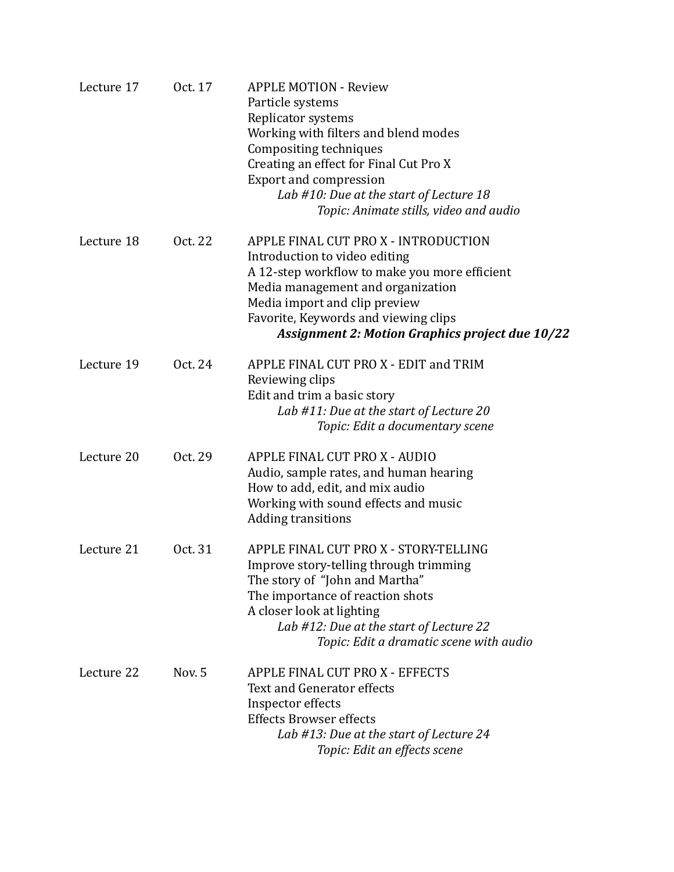| Lecture 17 | Oct. 17 | <b>APPLE MOTION - Review</b><br>Particle systems<br>Replicator systems<br>Working with filters and blend modes<br>Compositing techniques<br>Creating an effect for Final Cut Pro X<br><b>Export and compression</b><br>Lab #10: Due at the start of Lecture 18<br>Topic: Animate stills, video and audio |
|------------|---------|----------------------------------------------------------------------------------------------------------------------------------------------------------------------------------------------------------------------------------------------------------------------------------------------------------|
| Lecture 18 | Oct. 22 | APPLE FINAL CUT PRO X - INTRODUCTION<br>Introduction to video editing<br>A 12-step workflow to make you more efficient<br>Media management and organization<br>Media import and clip preview<br>Favorite, Keywords and viewing clips<br><b>Assignment 2: Motion Graphics project due 10/22</b>           |
| Lecture 19 | Oct. 24 | APPLE FINAL CUT PRO X - EDIT and TRIM<br>Reviewing clips<br>Edit and trim a basic story<br>Lab #11: Due at the start of Lecture 20<br>Topic: Edit a documentary scene                                                                                                                                    |
| Lecture 20 | Oct. 29 | APPLE FINAL CUT PRO X - AUDIO<br>Audio, sample rates, and human hearing<br>How to add, edit, and mix audio<br>Working with sound effects and music<br><b>Adding transitions</b>                                                                                                                          |
| Lecture 21 | Oct. 31 | APPLE FINAL CUT PRO X - STORY-TELLING<br>Improve story-telling through trimming<br>The story of "John and Martha"<br>The importance of reaction shots<br>A closer look at lighting<br>Lab #12: Due at the start of Lecture 22<br>Topic: Edit a dramatic scene with audio                                 |
| Lecture 22 | Nov. 5  | APPLE FINAL CUT PRO X - EFFECTS<br><b>Text and Generator effects</b><br>Inspector effects<br><b>Effects Browser effects</b><br>Lab #13: Due at the start of Lecture 24<br>Topic: Edit an effects scene                                                                                                   |